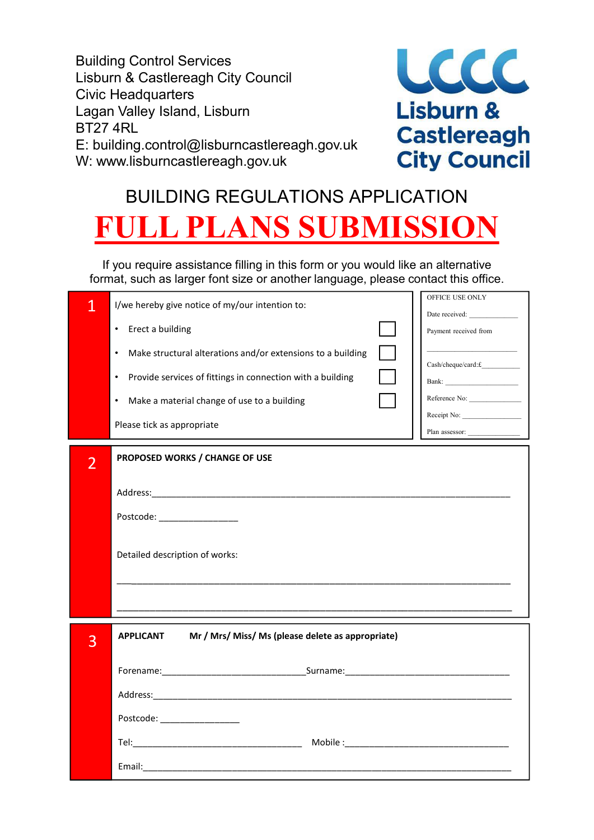Building Control Services Lisburn & Castlereagh City Council Civic Headquarters Lagan Valley Island, Lisburn **Campaign Communist Communist Lisburn &** BT27 4RL BT27 4RL<br>E: building.control@lisburncastlereagh.gov.uk<br>W: www.lisburncastlereagh.gov.uk City Council W: www.lisburncastlereagh.gov.uk



# BUILDING REGULATIONS APPLICATION ULL PLANS SUBMISSIO

If you require assistance filling in this form or you would like an alternative format, such as larger font size or another language, please contact this office.

| 1<br>$\overline{2}$ | I/we hereby give notice of my/our intention to:<br>Erect a building<br>$\bullet$<br>Make structural alterations and/or extensions to a building<br>$\bullet$<br>Provide services of fittings in connection with a building<br>$\bullet$<br>Make a material change of use to a building<br>$\bullet$<br>Please tick as appropriate<br>PROPOSED WORKS / CHANGE OF USE<br>Postcode: _________________<br>Detailed description of works: | OFFICE USE ONLY<br>Date received:<br>Payment received from<br>$\label{eq:csch} Cash/cheque/card{:}\pounds \_\_$<br>Reference No:<br>Receipt No:<br>Plan assessor: |  |
|---------------------|--------------------------------------------------------------------------------------------------------------------------------------------------------------------------------------------------------------------------------------------------------------------------------------------------------------------------------------------------------------------------------------------------------------------------------------|-------------------------------------------------------------------------------------------------------------------------------------------------------------------|--|
| 3                   | Mr / Mrs/ Miss/ Ms (please delete as appropriate)<br><b>APPLICANT</b>                                                                                                                                                                                                                                                                                                                                                                |                                                                                                                                                                   |  |
|                     |                                                                                                                                                                                                                                                                                                                                                                                                                                      |                                                                                                                                                                   |  |
|                     | Postcode: __________________                                                                                                                                                                                                                                                                                                                                                                                                         |                                                                                                                                                                   |  |
|                     |                                                                                                                                                                                                                                                                                                                                                                                                                                      |                                                                                                                                                                   |  |
|                     | Email:                                                                                                                                                                                                                                                                                                                                                                                                                               |                                                                                                                                                                   |  |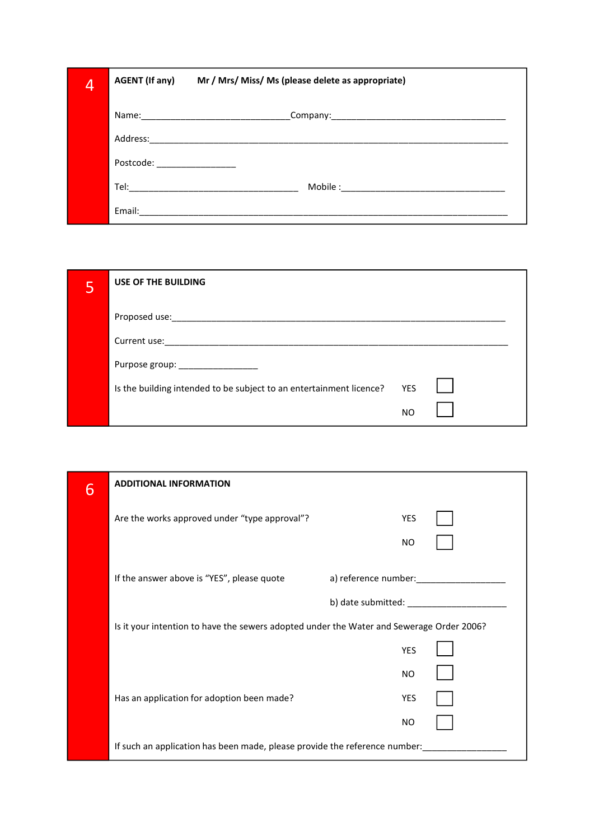| 4 | <b>AGENT (If any)</b>        | Mr / Mrs/ Miss/ Ms (please delete as appropriate)                                                                                                                                                                                   |
|---|------------------------------|-------------------------------------------------------------------------------------------------------------------------------------------------------------------------------------------------------------------------------------|
|   |                              |                                                                                                                                                                                                                                     |
|   | Address:                     |                                                                                                                                                                                                                                     |
|   | Postcode: National Postcode: |                                                                                                                                                                                                                                     |
|   |                              | <b>Tel:</b> The contract of the contract of the contract of the contract of the contract of the contract of the contract of the contract of the contract of the contract of the contract of the contract of the contract of the con |
|   | Email:                       |                                                                                                                                                                                                                                     |

| 5               | USE OF THE BUILDING                                                 |            |                      |
|-----------------|---------------------------------------------------------------------|------------|----------------------|
|                 |                                                                     |            |                      |
|                 |                                                                     |            |                      |
|                 | Purpose group: __________________                                   |            |                      |
|                 | Is the building intended to be subject to an entertainment licence? | <b>YES</b> |                      |
|                 |                                                                     | <b>NO</b>  |                      |
|                 |                                                                     |            |                      |
|                 |                                                                     |            |                      |
| $6\overline{6}$ | <b>ADDITIONAL INFORMATION</b>                                       |            |                      |
|                 | Are the works approved under "type approval"?                       | YES        |                      |
|                 |                                                                     | <b>NO</b>  |                      |
|                 | If the answer above is "YES", please quote                          |            | a) reference number: |

| $6\overline{6}$ | <b>ADDITIONAL INFORMATION</b>                                                            |            |  |
|-----------------|------------------------------------------------------------------------------------------|------------|--|
|                 | Are the works approved under "type approval"?                                            | <b>YES</b> |  |
|                 |                                                                                          | <b>NO</b>  |  |
|                 | If the answer above is "YES", please quote                                               |            |  |
|                 |                                                                                          |            |  |
|                 | Is it your intention to have the sewers adopted under the Water and Sewerage Order 2006? |            |  |
|                 |                                                                                          | <b>YES</b> |  |
|                 |                                                                                          | <b>NO</b>  |  |
|                 | Has an application for adoption been made?                                               | YES        |  |
|                 |                                                                                          | <b>NO</b>  |  |
|                 | If such an application has been made, please provide the reference number:               |            |  |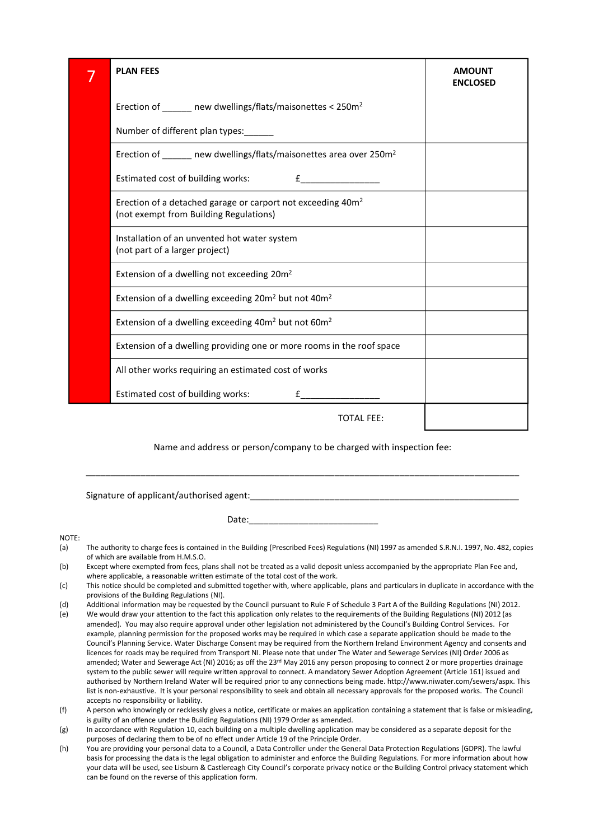| 7     | <b>PLAN FEES</b>                                                                                                                                                                                                                                                                                                                                                                                                                                                                                                                                                                                                                                                                                                                                                                                                                                                                                                                                                                                                                                                                                                                                                                                                                                                                                                                                                                                                                       | <b>AMOUNT</b>   |
|-------|----------------------------------------------------------------------------------------------------------------------------------------------------------------------------------------------------------------------------------------------------------------------------------------------------------------------------------------------------------------------------------------------------------------------------------------------------------------------------------------------------------------------------------------------------------------------------------------------------------------------------------------------------------------------------------------------------------------------------------------------------------------------------------------------------------------------------------------------------------------------------------------------------------------------------------------------------------------------------------------------------------------------------------------------------------------------------------------------------------------------------------------------------------------------------------------------------------------------------------------------------------------------------------------------------------------------------------------------------------------------------------------------------------------------------------------|-----------------|
|       |                                                                                                                                                                                                                                                                                                                                                                                                                                                                                                                                                                                                                                                                                                                                                                                                                                                                                                                                                                                                                                                                                                                                                                                                                                                                                                                                                                                                                                        | <b>ENCLOSED</b> |
|       | Erection of $\_\_\_\_\_\$ new dwellings/flats/maisonettes < 250m <sup>2</sup>                                                                                                                                                                                                                                                                                                                                                                                                                                                                                                                                                                                                                                                                                                                                                                                                                                                                                                                                                                                                                                                                                                                                                                                                                                                                                                                                                          |                 |
|       | Number of different plan types:                                                                                                                                                                                                                                                                                                                                                                                                                                                                                                                                                                                                                                                                                                                                                                                                                                                                                                                                                                                                                                                                                                                                                                                                                                                                                                                                                                                                        |                 |
|       | Erection of ______ new dwellings/flats/maisonettes area over 250m <sup>2</sup>                                                                                                                                                                                                                                                                                                                                                                                                                                                                                                                                                                                                                                                                                                                                                                                                                                                                                                                                                                                                                                                                                                                                                                                                                                                                                                                                                         |                 |
|       | Estimated cost of building works:                                                                                                                                                                                                                                                                                                                                                                                                                                                                                                                                                                                                                                                                                                                                                                                                                                                                                                                                                                                                                                                                                                                                                                                                                                                                                                                                                                                                      |                 |
|       | Erection of a detached garage or carport not exceeding 40m <sup>2</sup><br>(not exempt from Building Regulations)                                                                                                                                                                                                                                                                                                                                                                                                                                                                                                                                                                                                                                                                                                                                                                                                                                                                                                                                                                                                                                                                                                                                                                                                                                                                                                                      |                 |
|       | Installation of an unvented hot water system<br>(not part of a larger project)                                                                                                                                                                                                                                                                                                                                                                                                                                                                                                                                                                                                                                                                                                                                                                                                                                                                                                                                                                                                                                                                                                                                                                                                                                                                                                                                                         |                 |
|       | Extension of a dwelling not exceeding 20m <sup>2</sup>                                                                                                                                                                                                                                                                                                                                                                                                                                                                                                                                                                                                                                                                                                                                                                                                                                                                                                                                                                                                                                                                                                                                                                                                                                                                                                                                                                                 |                 |
|       | Extension of a dwelling exceeding 20m <sup>2</sup> but not 40m <sup>2</sup>                                                                                                                                                                                                                                                                                                                                                                                                                                                                                                                                                                                                                                                                                                                                                                                                                                                                                                                                                                                                                                                                                                                                                                                                                                                                                                                                                            |                 |
|       | Extension of a dwelling exceeding 40m <sup>2</sup> but not 60m <sup>2</sup>                                                                                                                                                                                                                                                                                                                                                                                                                                                                                                                                                                                                                                                                                                                                                                                                                                                                                                                                                                                                                                                                                                                                                                                                                                                                                                                                                            |                 |
|       | Extension of a dwelling providing one or more rooms in the roof space                                                                                                                                                                                                                                                                                                                                                                                                                                                                                                                                                                                                                                                                                                                                                                                                                                                                                                                                                                                                                                                                                                                                                                                                                                                                                                                                                                  |                 |
|       | All other works requiring an estimated cost of works                                                                                                                                                                                                                                                                                                                                                                                                                                                                                                                                                                                                                                                                                                                                                                                                                                                                                                                                                                                                                                                                                                                                                                                                                                                                                                                                                                                   |                 |
|       | Estimated cost of building works:                                                                                                                                                                                                                                                                                                                                                                                                                                                                                                                                                                                                                                                                                                                                                                                                                                                                                                                                                                                                                                                                                                                                                                                                                                                                                                                                                                                                      |                 |
|       | <b>TOTAL FEE:</b>                                                                                                                                                                                                                                                                                                                                                                                                                                                                                                                                                                                                                                                                                                                                                                                                                                                                                                                                                                                                                                                                                                                                                                                                                                                                                                                                                                                                                      |                 |
|       | Name and address or person/company to be charged with inspection fee:                                                                                                                                                                                                                                                                                                                                                                                                                                                                                                                                                                                                                                                                                                                                                                                                                                                                                                                                                                                                                                                                                                                                                                                                                                                                                                                                                                  |                 |
|       |                                                                                                                                                                                                                                                                                                                                                                                                                                                                                                                                                                                                                                                                                                                                                                                                                                                                                                                                                                                                                                                                                                                                                                                                                                                                                                                                                                                                                                        |                 |
|       |                                                                                                                                                                                                                                                                                                                                                                                                                                                                                                                                                                                                                                                                                                                                                                                                                                                                                                                                                                                                                                                                                                                                                                                                                                                                                                                                                                                                                                        |                 |
| NOTE: | The authority to charge fees is contained in the Building (Prescribed Fees) Regulations (NI) 1997 as amended S.R.N.I. 1997, No. 482, copies<br>of which are available from H.M.S.O.<br>Except where exempted from fees, plans shall not be treated as a valid deposit unless accompanied by the appropriate Plan Fee and,<br>where applicable, a reasonable written estimate of the total cost of the work.<br>This notice should be completed and submitted together with, where applicable, plans and particulars in duplicate in accordance with the<br>provisions of the Building Regulations (NI).<br>Additional information may be requested by the Council pursuant to Rule F of Schedule 3 Part A of the Building Regulations (NI) 2012.<br>We would draw your attention to the fact this application only relates to the requirements of the Building Regulations (NI) 2012 (as<br>amended). You may also require approval under other legislation not administered by the Council's Building Control Services. For<br>example, planning permission for the proposed works may be required in which case a separate application should be made to the<br>Council's Planning Service. Water Discharge Consent may be required from the Northern Ireland Environment Agency and consents and<br>licences for roads may be required from Transport NI. Please note that under The Water and Sewerage Services (NI) Order 2006 as |                 |

- of which are available from H.M.S.O.
- where applicable, a reasonable written estimate of the total cost of the work.
- 
- provisions of the Building Regulations (NI).<br>Additional information may be requested by the Council pursuant to Rule F of Schedule 3 Part A of the Building Regulations (NI) 2012.
- All other works requiring an estimated cost of works<br>
Estimated cost of building works:<br>
Name and address or person/company to be charged with inspection fee:<br>
Name and address or person/company to be charged with inspect All other works requiring an estimated cost of works<br>
Estimated cost of building works:<br>  $E$ <br>
Name and address or person/company to be charged with inspection fee:<br>
Name and address or person/company to be charged with in Estimated cost of building works:<br>
For TATL FEE:<br>
Name and address or person/company to be charged with inspection fee:<br>
The authority to drame and address or person/company to be charged with inspection fee:<br>
The authorit example, planning permission for the proposed works may be required in which case a separate application should be made to the Estimated cost of building works:<br>
Name and address or person/company to be charged with inspection fee:<br>
The authority to charge fees is contained agent:<br>
Date:<br>
The authority to charge fees is contained in the Building ( licences for roads may be required from Transport NI. Please note that under The Water and Sewerage Services (NI) Order 2006 as amended; Water and Sewerage Act (NI) 2016; as off the 23<sup>rd</sup> May 2016 any person proposing to connect 2 or more properties drainage system to the public sewer will require written approval to connect. A mandatory Sewer Adoption Agreement (Article 161) issued and authorised by Northern Ireland Water will be required prior to any connections being made. http://www.niwater.com/sewers/aspx. This list is non-exhaustive. It is your personal responsibility to seek and obtain all necessary approvals for the proposed works. The Council accepts no responsibility or liability. Signature of applicant/authorised agent:<br>
Date:<br>
Note:<br>
Note:<br>
1980 and information of the Building (Prescribed reek) Regulations (NJ 1997 as amended S.R.N. 1997, No. 482, copes<br>
of which are orolated information and shal Signature of applicant/authorised agent:<br>
Date:<br>
Date:<br>
NOTE:<br>
1997. Workh are available from H.M.S.O.<br>
or which are available from H.M.S.O.<br>
or which are available form H.M.S.O.<br>
Using the may be considered as a suitable Digitative or exploreantly detrictives as equite.<br>
NOTE:<br>
The authority to charge frees is contained in the Building (Prescribed Fees) Regulations [NI] 1997 as amended S.R.N.1997, No. 482, copies<br>
of which are evaluable fr
- is guilty of an offence under the Building Regulations (NI) 1979 Order as amended.
- purposes of declaring them to be of no effect under Article 19 of the Principle Order.<br>You are providing your personal data to a Council, a Data Controller under the General Data Protection Regulations (GDPR). The lawful
- basis for processing the data is the legal obligation to administer and enforce the Building Regulations. For more information about how your data will be used, see Lisburn & Castlereagh City Council's corporate privacy notice or the Building Control privacy statement which can be found on the reverse of this application form.